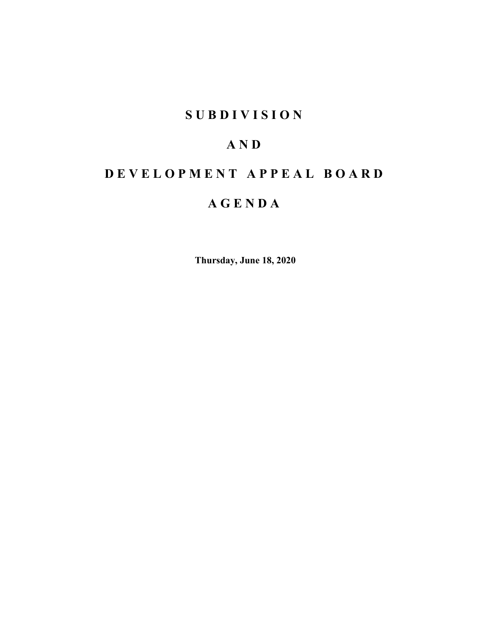## **SUBDIVISION**

# **AND**

# **DEVELOPMENT APPEAL BOARD**

# **AGENDA**

**Thursday, June 18, 2020**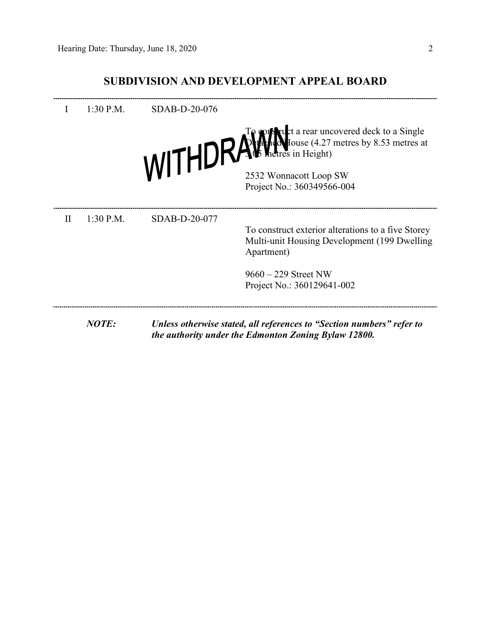### **SUBDIVISION AND DEVELOPMENT APPEAL BOARD**

|          | $1:30$ P.M. | SDAB-D-20-076 |                                                                                                                   |
|----------|-------------|---------------|-------------------------------------------------------------------------------------------------------------------|
|          |             |               | WITHDRAWNet a rear uncovered deck to a Single<br>WITHDRAWNetres in Height)                                        |
|          |             |               | 2532 Wonnacott Loop SW<br>Project No.: 360349566-004                                                              |
| $\rm II$ | $1:30$ P.M. | SDAB-D-20-077 |                                                                                                                   |
|          |             |               | To construct exterior alterations to a five Storey<br>Multi-unit Housing Development (199 Dwelling)<br>Apartment) |
|          |             |               | $9660 - 229$ Street NW                                                                                            |
|          |             |               | Project No.: 360129641-002                                                                                        |
|          | NOTE:       |               | Unless otherwise stated, all references to "Section numbers" refer to                                             |
|          |             |               | the authority under the Edmonton Zoning Bylaw 12800.                                                              |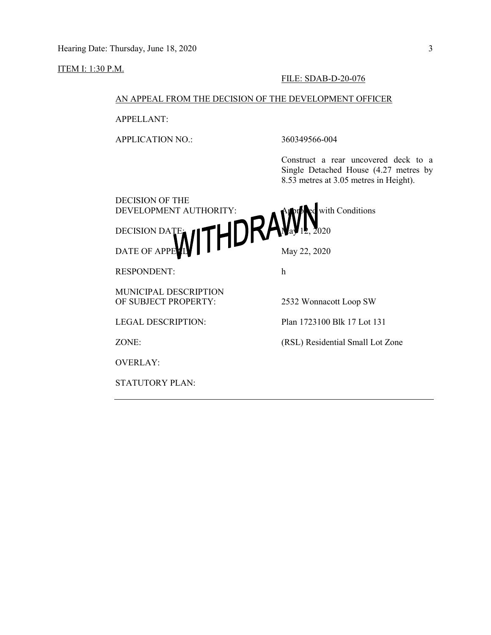ITEM I: 1:30 P.M.

#### FILE: SDAB-D-20-076

### AN APPEAL FROM THE DECISION OF THE DEVELOPMENT OFFICER

APPELLANT:

APPLICATION NO.: 360349566-004

Construct a rear uncovered deck to a Single Detached House (4.27 metres by 8.53 metres at 3.05 metres in Height).

| <b>DECISION OF THE</b>          |                                  |
|---------------------------------|----------------------------------|
| DEVELOPMENT AUTHORITY:          | with Conditions                  |
|                                 |                                  |
| DECISION DATE NITHDRAW 12, 2020 |                                  |
| <b>RESPONDENT:</b>              | h                                |
| <b>MUNICIPAL DESCRIPTION</b>    |                                  |
| OF SUBJECT PROPERTY:            | 2532 Wonnacott Loop SW           |
| <b>LEGAL DESCRIPTION:</b>       | Plan 1723100 Blk 17 Lot 131      |
| ZONE:                           | (RSL) Residential Small Lot Zone |
| <b>OVERLAY:</b>                 |                                  |
| STATUTORY PLAN:                 |                                  |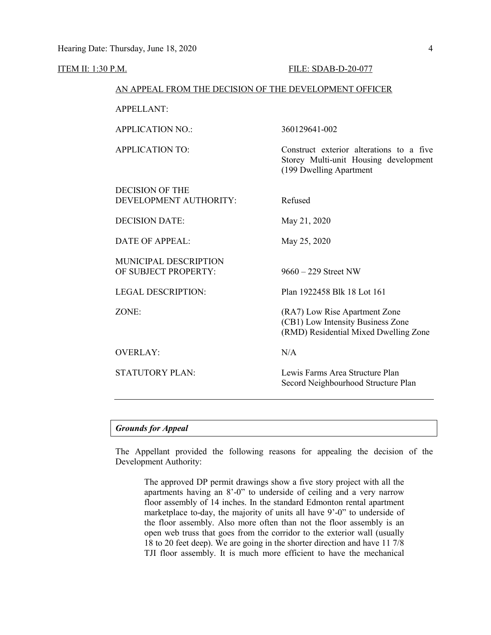ITEM II: 1:30 P.M. FILE: SDAB-D-20-077

| AN APPEAL FROM THE DECISION OF THE DEVELOPMENT OFFICER |                                                                                                              |  |  |
|--------------------------------------------------------|--------------------------------------------------------------------------------------------------------------|--|--|
| <b>APPELLANT:</b>                                      |                                                                                                              |  |  |
| <b>APPLICATION NO.:</b>                                | 360129641-002                                                                                                |  |  |
| <b>APPLICATION TO:</b>                                 | Construct exterior alterations to a five<br>Storey Multi-unit Housing development<br>(199 Dwelling Apartment |  |  |
| <b>DECISION OF THE</b><br>DEVELOPMENT AUTHORITY:       | Refused                                                                                                      |  |  |
| <b>DECISION DATE:</b>                                  | May 21, 2020                                                                                                 |  |  |
| <b>DATE OF APPEAL:</b>                                 | May 25, 2020                                                                                                 |  |  |
| <b>MUNICIPAL DESCRIPTION</b><br>OF SUBJECT PROPERTY:   | $9660 - 229$ Street NW                                                                                       |  |  |
| <b>LEGAL DESCRIPTION:</b>                              | Plan 1922458 Blk 18 Lot 161                                                                                  |  |  |
| ZONE:                                                  | (RA7) Low Rise Apartment Zone<br>(CB1) Low Intensity Business Zone<br>(RMD) Residential Mixed Dwelling Zone  |  |  |
| <b>OVERLAY:</b>                                        | N/A                                                                                                          |  |  |
| <b>STATUTORY PLAN:</b>                                 | Lewis Farms Area Structure Plan<br>Secord Neighbourhood Structure Plan                                       |  |  |

#### *Grounds for Appeal*

The Appellant provided the following reasons for appealing the decision of the Development Authority:

The approved DP permit drawings show a five story project with all the apartments having an 8'-0" to underside of ceiling and a very narrow floor assembly of 14 inches. In the standard Edmonton rental apartment marketplace to-day, the majority of units all have 9'-0" to underside of the floor assembly. Also more often than not the floor assembly is an open web truss that goes from the corridor to the exterior wall (usually 18 to 20 feet deep). We are going in the shorter direction and have 11 7/8 TJI floor assembly. It is much more efficient to have the mechanical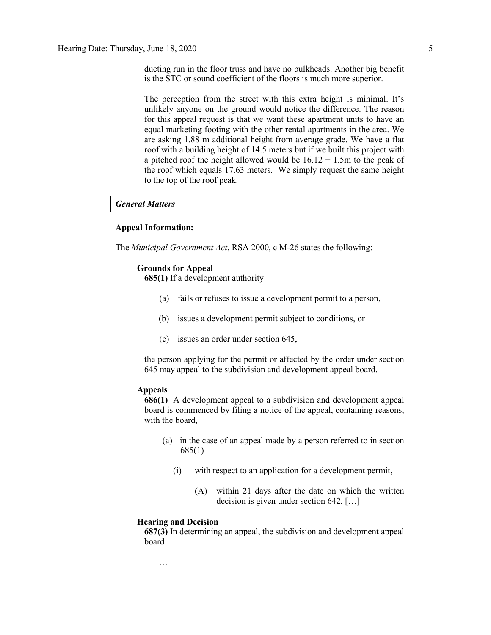ducting run in the floor truss and have no bulkheads. Another big benefit is the STC or sound coefficient of the floors is much more superior.

The perception from the street with this extra height is minimal. It's unlikely anyone on the ground would notice the difference. The reason for this appeal request is that we want these apartment units to have an equal marketing footing with the other rental apartments in the area. We are asking 1.88 m additional height from average grade. We have a flat roof with a building height of 14.5 meters but if we built this project with a pitched roof the height allowed would be  $16.12 + 1.5$ m to the peak of the roof which equals 17.63 meters. We simply request the same height to the top of the roof peak.

#### *General Matters*

#### **Appeal Information:**

The *Municipal Government Act*, RSA 2000, c M-26 states the following:

#### **Grounds for Appeal**

**685(1)** If a development authority

- (a) fails or refuses to issue a development permit to a person,
- (b) issues a development permit subject to conditions, or
- (c) issues an order under section 645,

the person applying for the permit or affected by the order under section 645 may appeal to the subdivision and development appeal board.

#### **Appeals**

**686(1)** A development appeal to a subdivision and development appeal board is commenced by filing a notice of the appeal, containing reasons, with the board,

- (a) in the case of an appeal made by a person referred to in section 685(1)
	- (i) with respect to an application for a development permit,
		- (A) within 21 days after the date on which the written decision is given under section 642, […]

#### **Hearing and Decision**

**687(3)** In determining an appeal, the subdivision and development appeal board

…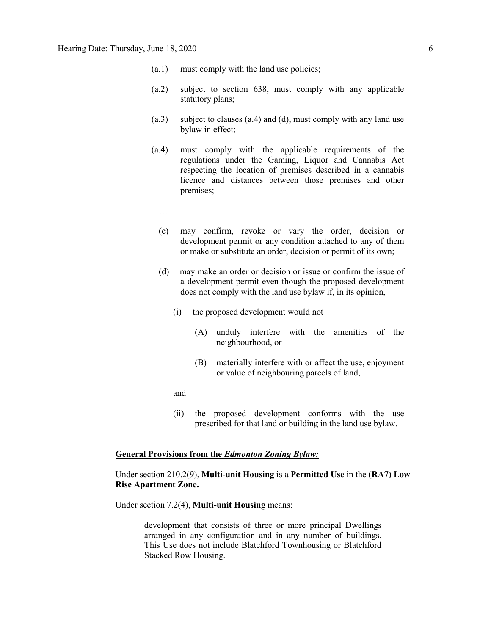- (a.1) must comply with the land use policies;
- (a.2) subject to section 638, must comply with any applicable statutory plans;
- (a.3) subject to clauses (a.4) and (d), must comply with any land use bylaw in effect;
- (a.4) must comply with the applicable requirements of the regulations under the Gaming, Liquor and Cannabis Act respecting the location of premises described in a cannabis licence and distances between those premises and other premises;
	- …
	- (c) may confirm, revoke or vary the order, decision or development permit or any condition attached to any of them or make or substitute an order, decision or permit of its own;
	- (d) may make an order or decision or issue or confirm the issue of a development permit even though the proposed development does not comply with the land use bylaw if, in its opinion,
		- (i) the proposed development would not
			- (A) unduly interfere with the amenities of the neighbourhood, or
			- (B) materially interfere with or affect the use, enjoyment or value of neighbouring parcels of land,
		- and
		- (ii) the proposed development conforms with the use prescribed for that land or building in the land use bylaw.

#### **General Provisions from the** *Edmonton Zoning Bylaw:*

#### Under section 210.2(9), **Multi-unit Housing** is a **Permitted Use** in the **(RA7) Low Rise Apartment Zone.**

Under section 7.2(4), **Multi-unit Housing** means:

development that consists of three or more principal Dwellings arranged in any configuration and in any number of buildings. This Use does not include Blatchford Townhousing or Blatchford Stacked Row Housing.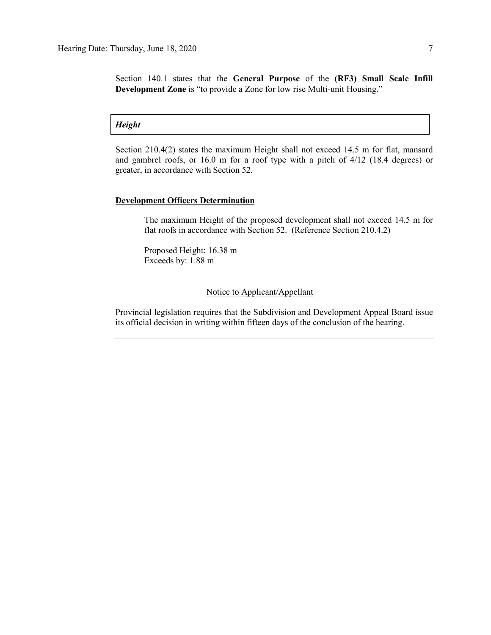Section 140.1 states that the **General Purpose** of the **(RF3) Small Scale Infill Development Zone** is "to provide a Zone for low rise Multi-unit Housing."

*Height*

Section 210.4(2) states the maximum Height shall not exceed 14.5 m for flat, mansard and gambrel roofs, or 16.0 m for a roof type with a pitch of 4/12 (18.4 degrees) or greater, in accordance with Section 52.

#### **Development Officers Determination**

The maximum Height of the proposed development shall not exceed 14.5 m for flat roofs in accordance with Section 52. (Reference Section 210.4.2)

Proposed Height: 16.38 m Exceeds by: 1.88 m

Notice to Applicant/Appellant

Provincial legislation requires that the Subdivision and Development Appeal Board issue its official decision in writing within fifteen days of the conclusion of the hearing.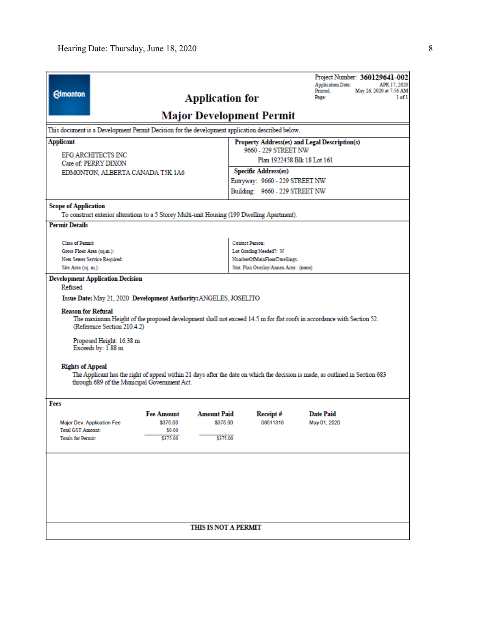|                                                                                                                                                                                                                                                                                                                                                                                                                                                                                                                                        |                                                                             |                                                | Project Number: 360129641-002<br><b>Application Date:</b><br>Printed:<br>Page:                                                                                                                                                                                                                                           | APR 17, 2020<br>May 26, 2020 at 7:56 AM<br>$1 of 1$                                          |  |  |  |  |  |
|----------------------------------------------------------------------------------------------------------------------------------------------------------------------------------------------------------------------------------------------------------------------------------------------------------------------------------------------------------------------------------------------------------------------------------------------------------------------------------------------------------------------------------------|-----------------------------------------------------------------------------|------------------------------------------------|--------------------------------------------------------------------------------------------------------------------------------------------------------------------------------------------------------------------------------------------------------------------------------------------------------------------------|----------------------------------------------------------------------------------------------|--|--|--|--|--|
|                                                                                                                                                                                                                                                                                                                                                                                                                                                                                                                                        |                                                                             |                                                |                                                                                                                                                                                                                                                                                                                          |                                                                                              |  |  |  |  |  |
|                                                                                                                                                                                                                                                                                                                                                                                                                                                                                                                                        |                                                                             |                                                |                                                                                                                                                                                                                                                                                                                          |                                                                                              |  |  |  |  |  |
|                                                                                                                                                                                                                                                                                                                                                                                                                                                                                                                                        |                                                                             | Property Address(es) and Legal Description(s)  |                                                                                                                                                                                                                                                                                                                          |                                                                                              |  |  |  |  |  |
|                                                                                                                                                                                                                                                                                                                                                                                                                                                                                                                                        |                                                                             |                                                |                                                                                                                                                                                                                                                                                                                          |                                                                                              |  |  |  |  |  |
|                                                                                                                                                                                                                                                                                                                                                                                                                                                                                                                                        |                                                                             |                                                |                                                                                                                                                                                                                                                                                                                          |                                                                                              |  |  |  |  |  |
|                                                                                                                                                                                                                                                                                                                                                                                                                                                                                                                                        |                                                                             | Entryway: 9660 - 229 STREET NW                 |                                                                                                                                                                                                                                                                                                                          |                                                                                              |  |  |  |  |  |
|                                                                                                                                                                                                                                                                                                                                                                                                                                                                                                                                        |                                                                             | Building: 9660 - 229 STREET NW                 |                                                                                                                                                                                                                                                                                                                          |                                                                                              |  |  |  |  |  |
|                                                                                                                                                                                                                                                                                                                                                                                                                                                                                                                                        |                                                                             |                                                |                                                                                                                                                                                                                                                                                                                          |                                                                                              |  |  |  |  |  |
|                                                                                                                                                                                                                                                                                                                                                                                                                                                                                                                                        |                                                                             |                                                |                                                                                                                                                                                                                                                                                                                          |                                                                                              |  |  |  |  |  |
|                                                                                                                                                                                                                                                                                                                                                                                                                                                                                                                                        |                                                                             |                                                |                                                                                                                                                                                                                                                                                                                          |                                                                                              |  |  |  |  |  |
| Class of Permit:                                                                                                                                                                                                                                                                                                                                                                                                                                                                                                                       |                                                                             |                                                | <b>Contact Person:</b>                                                                                                                                                                                                                                                                                                   |                                                                                              |  |  |  |  |  |
|                                                                                                                                                                                                                                                                                                                                                                                                                                                                                                                                        |                                                                             | Lot Grading Needed?: N                         |                                                                                                                                                                                                                                                                                                                          |                                                                                              |  |  |  |  |  |
|                                                                                                                                                                                                                                                                                                                                                                                                                                                                                                                                        |                                                                             |                                                |                                                                                                                                                                                                                                                                                                                          |                                                                                              |  |  |  |  |  |
| Refised<br>Issue Date: May 21, 2020 Development Authority: ANGELES, JOSELITO<br><b>Reason for Refusal</b><br>The maximum Height of the proposed development shall not exceed 14.5 m for flat roofs in accordance with Section 52.<br>(Reference Section 210.4.2)<br>Proposed Height: 16.38 m<br>Exceeds by: 1.88 m<br><b>Rights of Appeal</b><br>The Applicant has the right of appeal within 21 days after the date on which the decision is made, as outlined in Section 683<br>through 689 of the Municipal Government Act.<br>Fees |                                                                             |                                                |                                                                                                                                                                                                                                                                                                                          |                                                                                              |  |  |  |  |  |
| <b>Fee Amount</b><br>\$375.00<br>\$0.00<br>\$375.00                                                                                                                                                                                                                                                                                                                                                                                                                                                                                    | <b>Amount Paid</b><br>\$375.00                                              |                                                | <b>Date Paid</b><br>May 01, 2020                                                                                                                                                                                                                                                                                         |                                                                                              |  |  |  |  |  |
|                                                                                                                                                                                                                                                                                                                                                                                                                                                                                                                                        | \$375.00                                                                    |                                                |                                                                                                                                                                                                                                                                                                                          |                                                                                              |  |  |  |  |  |
|                                                                                                                                                                                                                                                                                                                                                                                                                                                                                                                                        |                                                                             |                                                |                                                                                                                                                                                                                                                                                                                          |                                                                                              |  |  |  |  |  |
|                                                                                                                                                                                                                                                                                                                                                                                                                                                                                                                                        | EDMONTON, ALBERTA CANADA T5K 1A6<br><b>Development Application Decision</b> | <b>Application for</b><br>THIS IS NOT A PERMIT | <b>Major Development Permit</b><br>This document is a Development Permit Decision for the development application described below.<br><b>Specific Address(es)</b><br>To construct exterior alterations to a 5 Storey Multi-unit Housing (199 Dwelling Apartment).<br>NumberOfMainFloorDwellings:<br>Receipt#<br>06511316 | 9660 - 229 STREET NW<br>Plan 1922458 Blk 18 Lot 161<br>Stat. Plan Overlay/Annex Area: (none) |  |  |  |  |  |